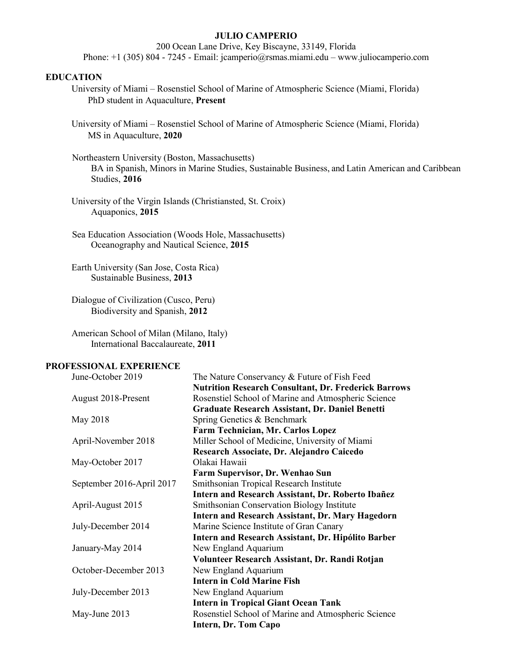### **JULIO CAMPERIO**

200 Ocean Lane Drive, Key Biscayne, 33149, Florida Phone: +1 (305) 804 - 7245 - Email: jcamperio@rsmas.miami.edu – www.juliocamperio.com

### **EDUCATION**

- University of Miami Rosenstiel School of Marine of Atmospheric Science (Miami, Florida) PhD student in Aquaculture, **Present**
- University of Miami Rosenstiel School of Marine of Atmospheric Science (Miami, Florida) MS in Aquaculture, **2020**

Northeastern University (Boston, Massachusetts) BA in Spanish, Minors in Marine Studies, Sustainable Business, and Latin American and Caribbean Studies, **2016**

University of the Virgin Islands (Christiansted, St. Croix) Aquaponics, **2015**

Dialogue of Civilization (Cusco, Peru) Biodiversity and Spanish, **2012**

American School of Milan (Milano, Italy) International Baccalaureate, **2011**

# **PROFESSIONAL EXPERIENCE**

| June-October 2019         | The Nature Conservancy & Future of Fish Feed                |
|---------------------------|-------------------------------------------------------------|
|                           | <b>Nutrition Research Consultant, Dr. Frederick Barrows</b> |
| August 2018-Present       | Rosenstiel School of Marine and Atmospheric Science         |
|                           | Graduate Research Assistant, Dr. Daniel Benetti             |
| May 2018                  | Spring Genetics & Benchmark                                 |
|                           | Farm Technician, Mr. Carlos Lopez                           |
| April-November 2018       | Miller School of Medicine, University of Miami              |
|                           | Research Associate, Dr. Alejandro Caicedo                   |
| May-October 2017          | Olakai Hawaii                                               |
|                           | Farm Supervisor, Dr. Wenhao Sun                             |
| September 2016-April 2017 | Smithsonian Tropical Research Institute                     |
|                           | Intern and Research Assistant, Dr. Roberto Ibañez           |
| April-August 2015         | Smithsonian Conservation Biology Institute                  |
|                           | Intern and Research Assistant, Dr. Mary Hagedorn            |
| July-December 2014        | Marine Science Institute of Gran Canary                     |
|                           | Intern and Research Assistant, Dr. Hipólito Barber          |
| January-May 2014          | New England Aquarium                                        |
|                           | Volunteer Research Assistant, Dr. Randi Rotjan              |
| October-December 2013     | New England Aquarium                                        |
|                           | <b>Intern in Cold Marine Fish</b>                           |
| July-December 2013        | New England Aquarium                                        |
|                           | <b>Intern in Tropical Giant Ocean Tank</b>                  |
| May-June 2013             | Rosenstiel School of Marine and Atmospheric Science         |
|                           | Intern, Dr. Tom Capo                                        |
|                           |                                                             |

Sea Education Association (Woods Hole, Massachusetts) Oceanography and Nautical Science, **2015**

Earth University (San Jose, Costa Rica) Sustainable Business, **2013**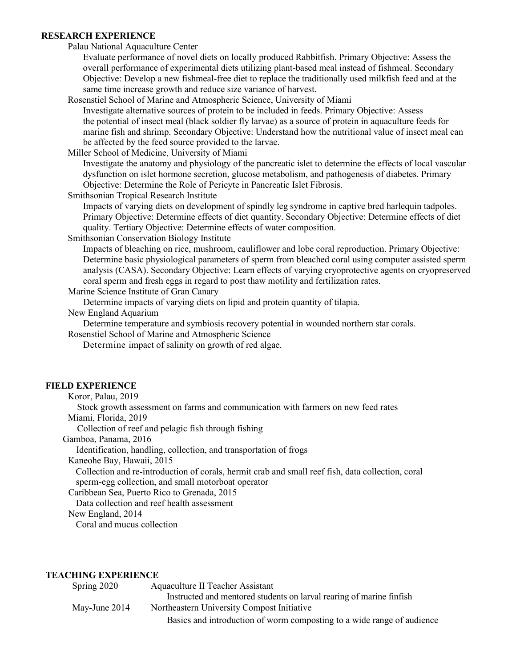#### **RESEARCH EXPERIENCE**

Palau National Aquaculture Center

Evaluate performance of novel diets on locally produced Rabbitfish. Primary Objective: Assess the overall performance of experimental diets utilizing plant-based meal instead of fishmeal. Secondary Objective: Develop a new fishmeal-free diet to replace the traditionally used milkfish feed and at the same time increase growth and reduce size variance of harvest.

Rosenstiel School of Marine and Atmospheric Science, University of Miami

Investigate alternative sources of protein to be included in feeds. Primary Objective: Assess the potential of insect meal (black soldier fly larvae) as a source of protein in aquaculture feeds for marine fish and shrimp. Secondary Objective: Understand how the nutritional value of insect meal can be affected by the feed source provided to the larvae.

Miller School of Medicine, University of Miami

Investigate the anatomy and physiology of the pancreatic islet to determine the effects of local vascular dysfunction on islet hormone secretion, glucose metabolism, and pathogenesis of diabetes. Primary Objective: Determine the Role of Pericyte in Pancreatic Islet Fibrosis.

Smithsonian Tropical Research Institute

Impacts of varying diets on development of spindly leg syndrome in captive bred harlequin tadpoles. Primary Objective: Determine effects of diet quantity. Secondary Objective: Determine effects of diet quality. Tertiary Objective: Determine effects of water composition.

Smithsonian Conservation Biology Institute

Impacts of bleaching on rice, mushroom, cauliflower and lobe coral reproduction. Primary Objective: Determine basic physiological parameters of sperm from bleached coral using computer assisted sperm analysis (CASA). Secondary Objective: Learn effects of varying cryoprotective agents on cryopreserved coral sperm and fresh eggs in regard to post thaw motility and fertilization rates.

## Marine Science Institute of Gran Canary

Determine impacts of varying diets on lipid and protein quantity of tilapia.

New England Aquarium

Determine temperature and symbiosis recovery potential in wounded northern star corals.

Rosenstiel School of Marine and Atmospheric Science

Determine impact of salinity on growth of red algae.

# **FIELD EXPERIENCE**

Koror, Palau, 2019

Stock growth assessment on farms and communication with farmers on new feed rates

Miami, Florida, 2019

Collection of reef and pelagic fish through fishing

Gamboa, Panama, 2016

Identification, handling, collection, and transportation of frogs

Kaneohe Bay, Hawaii, 2015

Collection and re-introduction of corals, hermit crab and small reef fish, data collection, coral sperm-egg collection, and small motorboat operator

Caribbean Sea, Puerto Rico to Grenada, 2015

Data collection and reef health assessment

New England, 2014

Coral and mucus collection

# **TEACHING EXPERIENCE**

| Spring 2020   | Aquaculture II Teacher Assistant                                       |
|---------------|------------------------------------------------------------------------|
|               | Instructed and mentored students on larval rearing of marine finfish   |
| May-June 2014 | Northeastern University Compost Initiative                             |
|               | Basics and introduction of worm composting to a wide range of audience |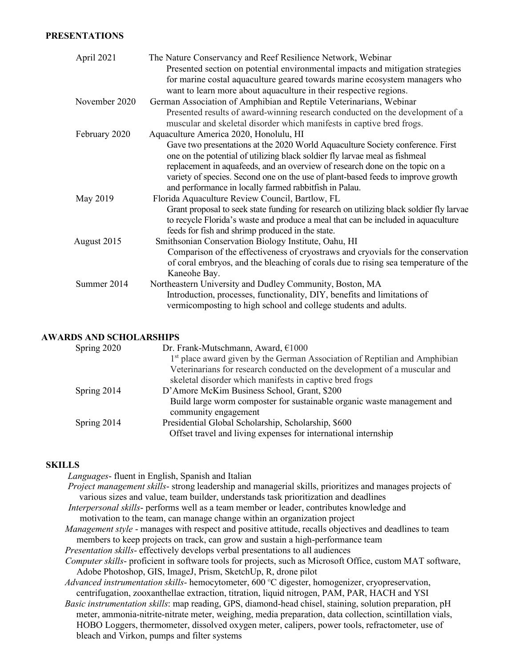### **PRESENTATIONS**

| April 2021    | The Nature Conservancy and Reef Resilience Network, Webinar<br>Presented section on potential environmental impacts and mitigation strategies<br>for marine costal aquaculture geared towards marine ecosystem managers who<br>want to learn more about aquaculture in their respective regions.                                                                                                                                      |
|---------------|---------------------------------------------------------------------------------------------------------------------------------------------------------------------------------------------------------------------------------------------------------------------------------------------------------------------------------------------------------------------------------------------------------------------------------------|
| November 2020 | German Association of Amphibian and Reptile Veterinarians, Webinar<br>Presented results of award-winning research conducted on the development of a<br>muscular and skeletal disorder which manifests in captive bred frogs.                                                                                                                                                                                                          |
| February 2020 | Aquaculture America 2020, Honolulu, HI<br>Gave two presentations at the 2020 World Aquaculture Society conference. First<br>one on the potential of utilizing black soldier fly larvae meal as fishmeal<br>replacement in aquafeeds, and an overview of research done on the topic on a<br>variety of species. Second one on the use of plant-based feeds to improve growth<br>and performance in locally farmed rabbitfish in Palau. |
| May 2019      | Florida Aquaculture Review Council, Bartlow, FL<br>Grant proposal to seek state funding for research on utilizing black soldier fly larvae<br>to recycle Florida's waste and produce a meal that can be included in aquaculture<br>feeds for fish and shrimp produced in the state.                                                                                                                                                   |
| August 2015   | Smithsonian Conservation Biology Institute, Oahu, HI<br>Comparison of the effectiveness of cryostraws and cryovials for the conservation<br>of coral embryos, and the bleaching of corals due to rising sea temperature of the<br>Kaneohe Bay.                                                                                                                                                                                        |
| Summer 2014   | Northeastern University and Dudley Community, Boston, MA<br>Introduction, processes, functionality, DIY, benefits and limitations of<br>vermicomposting to high school and college students and adults.                                                                                                                                                                                                                               |

# **AWARDS AND SCHOLARSHIPS**

| Spring 2020 | Dr. Frank-Mutschmann, Award, €1000                                                     |
|-------------|----------------------------------------------------------------------------------------|
|             | 1 <sup>st</sup> place award given by the German Association of Reptilian and Amphibian |
|             | Veterinarians for research conducted on the development of a muscular and              |
|             | skeletal disorder which manifests in captive bred frogs                                |
| Spring 2014 | D'Amore McKim Business School, Grant, \$200                                            |
|             | Build large worm composter for sustainable organic waste management and                |
|             | community engagement                                                                   |
| Spring 2014 | Presidential Global Scholarship, Scholarship, \$600                                    |
|             | Offset travel and living expenses for international internship                         |
|             |                                                                                        |

# **SKILLS**

*Languages*- fluent in English, Spanish and Italian

*Project management skills*- strong leadership and managerial skills, prioritizes and manages projects of various sizes and value, team builder, understands task prioritization and deadlines *Interpersonal skills*- performs well as a team member or leader, contributes knowledge and

motivation to the team, can manage change within an organization project

*Management style* - manages with respect and positive attitude, recalls objectives and deadlines to team members to keep projects on track, can grow and sustain a high-performance team

*Presentation skills*- effectively develops verbal presentations to all audiences

- *Computer skills* proficient in software tools for projects, such as Microsoft Office, custom MAT software, Adobe Photoshop, GIS, ImageJ, Prism, SketchUp, R, drone pilot
- *Advanced instrumentation skills* hemocytometer, 600 ºC digester, homogenizer, cryopreservation, centrifugation, zooxanthellae extraction, titration, liquid nitrogen, PAM, PAR, HACH and YSI

*Basic instrumentation skills*: map reading, GPS, diamond-head chisel, staining, solution preparation, pH meter, ammonia-nitrite-nitrate meter, weighing, media preparation, data collection, scintillation vials, HOBO Loggers, thermometer, dissolved oxygen meter, calipers, power tools, refractometer, use of bleach and Virkon, pumps and filter systems